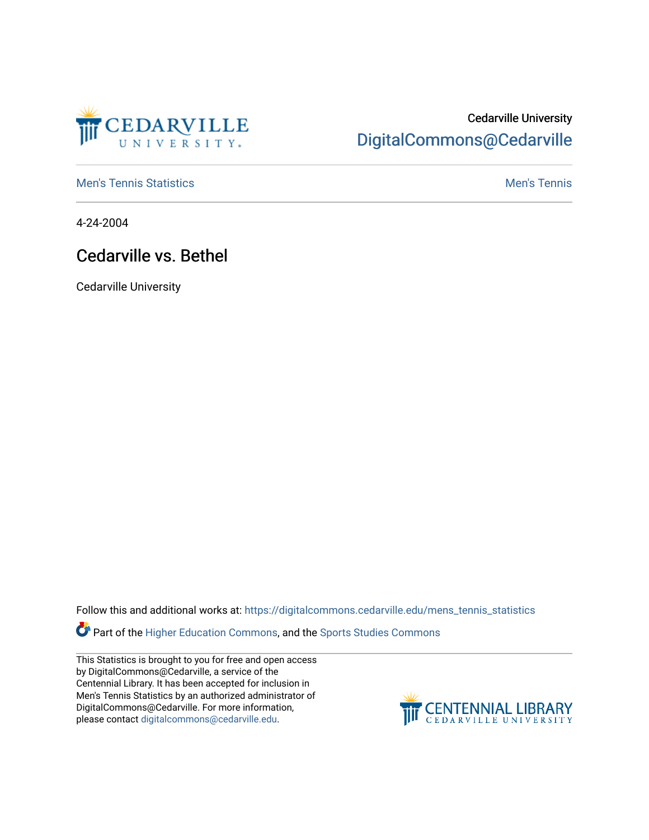

## Cedarville University [DigitalCommons@Cedarville](https://digitalcommons.cedarville.edu/)

**[Men's Tennis Statistics](https://digitalcommons.cedarville.edu/mens_tennis_statistics) Mental According to the Control of Control According Mental Men's Tennis** 

4-24-2004

## Cedarville vs. Bethel

Cedarville University

Follow this and additional works at: [https://digitalcommons.cedarville.edu/mens\\_tennis\\_statistics](https://digitalcommons.cedarville.edu/mens_tennis_statistics?utm_source=digitalcommons.cedarville.edu%2Fmens_tennis_statistics%2F568&utm_medium=PDF&utm_campaign=PDFCoverPages)

Part of the [Higher Education Commons,](http://network.bepress.com/hgg/discipline/1245?utm_source=digitalcommons.cedarville.edu%2Fmens_tennis_statistics%2F568&utm_medium=PDF&utm_campaign=PDFCoverPages) and the Sports Studies Commons

This Statistics is brought to you for free and open access by DigitalCommons@Cedarville, a service of the Centennial Library. It has been accepted for inclusion in Men's Tennis Statistics by an authorized administrator of DigitalCommons@Cedarville. For more information, please contact [digitalcommons@cedarville.edu](mailto:digitalcommons@cedarville.edu).